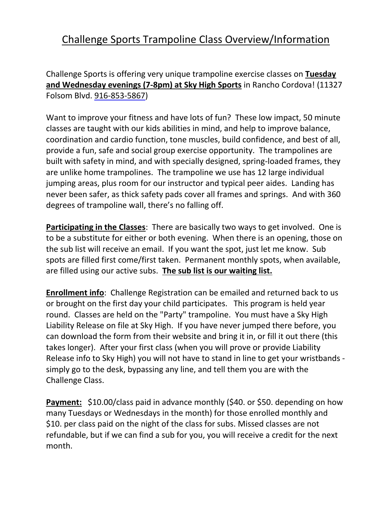## Challenge Sports Trampoline Class Overview/Information

Challenge Sports is offering very unique trampoline exercise classes on **Tuesday and Wednesday evenings (7-8pm) at Sky High Sports** in Rancho Cordova! (11327 Folsom Blvd. [916-853-5867\)](tel:916-853-5867)

Want to improve your fitness and have lots of fun? These low impact, 50 minute classes are taught with our kids abilities in mind, and help to improve balance, coordination and cardio function, tone muscles, build confidence, and best of all, provide a fun, safe and social group exercise opportunity. The trampolines are built with safety in mind, and with specially designed, spring-loaded frames, they are unlike home trampolines. The trampoline we use has 12 large individual jumping areas, plus room for our instructor and typical peer aides. Landing has never been safer, as thick safety pads cover all frames and springs. And with 360 degrees of trampoline wall, there's no falling off.

**Participating in the Classes**: There are basically two ways to get involved. One is to be a substitute for either or both evening. When there is an opening, those on the sub list will receive an email. If you want the spot, just let me know. Sub spots are filled first come/first taken. Permanent monthly spots, when available, are filled using our active subs. **The sub list is our waiting list.**

**Enrollment info**: Challenge Registration can be emailed and returned back to us or brought on the first day your child participates. This program is held year round. Classes are held on the "Party" trampoline. You must have a Sky High Liability Release on file at Sky High. If you have never jumped there before, you can download the form from their website and bring it in, or fill it out there (this takes longer). After your first class (when you will prove or provide Liability Release info to Sky High) you will not have to stand in line to get your wristbands simply go to the desk, bypassing any line, and tell them you are with the Challenge Class.

**Payment:** \$10.00/class paid in advance monthly (\$40. or \$50. depending on how many Tuesdays or Wednesdays in the month) for those enrolled monthly and \$10. per class paid on the night of the class for subs. Missed classes are not refundable, but if we can find a sub for you, you will receive a credit for the next month.